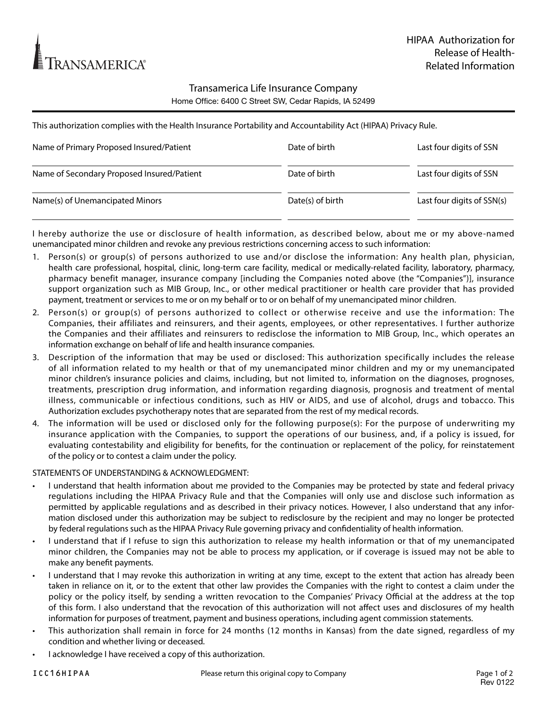

## Transamerica Life Insurance Company Home Office: 6400 C Street SW, Cedar Rapids, IA 52499

This authorization complies with the Health Insurance Portability and Accountability Act (HIPAA) Privacy Rule.

| Name of Primary Proposed Insured/Patient   | Date of birth    | Last four digits of SSN    |
|--------------------------------------------|------------------|----------------------------|
| Name of Secondary Proposed Insured/Patient | Date of birth    | Last four digits of SSN    |
| Name(s) of Unemancipated Minors            | Date(s) of birth | Last four digits of SSN(s) |

I hereby authorize the use or disclosure of health information, as described below, about me or my above-named unemancipated minor children and revoke any previous restrictions concerning access to such information:

- 1. Person(s) or group(s) of persons authorized to use and/or disclose the information: Any health plan, physician, health care professional, hospital, clinic, long-term care facility, medical or medically-related facility, laboratory, pharmacy, pharmacy benefit manager, insurance company [including the Companies noted above (the "Companies")], insurance support organization such as MIB Group, Inc., or other medical practitioner or health care provider that has provided payment, treatment or services to me or on my behalf or to or on behalf of my unemancipated minor children.
- 2. Person(s) or group(s) of persons authorized to collect or otherwise receive and use the information: The Companies, their affiliates and reinsurers, and their agents, employees, or other representatives. I further authorize the Companies and their affiliates and reinsurers to redisclose the information to MIB Group, Inc., which operates an information exchange on behalf of life and health insurance companies.
- 3. Description of the information that may be used or disclosed: This authorization specifically includes the release of all information related to my health or that of my unemancipated minor children and my or my unemancipated minor children's insurance policies and claims, including, but not limited to, information on the diagnoses, prognoses, treatments, prescription drug information, and information regarding diagnosis, prognosis and treatment of mental illness, communicable or infectious conditions, such as HIV or AIDS, and use of alcohol, drugs and tobacco. This Authorization excludes psychotherapy notes that are separated from the rest of my medical records.
- 4. The information will be used or disclosed only for the following purpose(s): For the purpose of underwriting my insurance application with the Companies, to support the operations of our business, and, if a policy is issued, for evaluating contestability and eligibility for benefits, for the continuation or replacement of the policy, for reinstatement of the policy or to contest a claim under the policy.

STATEMENTS OF UNDERSTANDING & ACKNOWLEDGMENT:

- I understand that health information about me provided to the Companies may be protected by state and federal privacy regulations including the HIPAA Privacy Rule and that the Companies will only use and disclose such information as permitted by applicable regulations and as described in their privacy notices. However, I also understand that any information disclosed under this authorization may be subject to redisclosure by the recipient and may no longer be protected by federal regulations such as the HIPAA Privacy Rule governing privacy and confidentiality of health information.
- I understand that if I refuse to sign this authorization to release my health information or that of my unemancipated minor children, the Companies may not be able to process my application, or if coverage is issued may not be able to make any benefit payments.
- I understand that I may revoke this authorization in writing at any time, except to the extent that action has already been taken in reliance on it, or to the extent that other law provides the Companies with the right to contest a claim under the policy or the policy itself, by sending a written revocation to the Companies' Privacy Official at the address at the top of this form. I also understand that the revocation of this authorization will not affect uses and disclosures of my health information for purposes of treatment, payment and business operations, including agent commission statements.
- This authorization shall remain in force for 24 months (12 months in Kansas) from the date signed, regardless of my condition and whether living or deceased.
- I acknowledge I have received a copy of this authorization.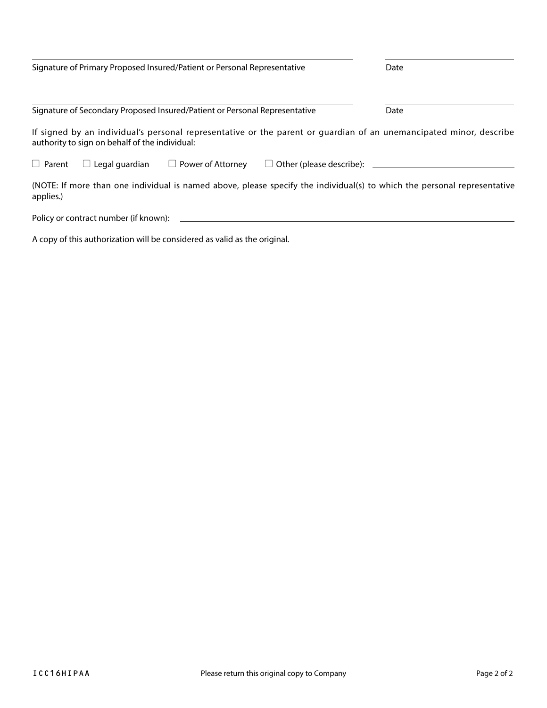| Signature of Primary Proposed Insured/Patient or Personal Representative                                                                                             |                                |                                                                            |                                           | Date                                                                                                                     |  |
|----------------------------------------------------------------------------------------------------------------------------------------------------------------------|--------------------------------|----------------------------------------------------------------------------|-------------------------------------------|--------------------------------------------------------------------------------------------------------------------------|--|
|                                                                                                                                                                      |                                | Signature of Secondary Proposed Insured/Patient or Personal Representative |                                           | Date                                                                                                                     |  |
| If signed by an individual's personal representative or the parent or guardian of an unemancipated minor, describe<br>authority to sign on behalf of the individual: |                                |                                                                            |                                           |                                                                                                                          |  |
| $\Box$ Parent                                                                                                                                                        | Legal guardian<br>$\mathbf{L}$ | Power of Attorney<br>$\Box$                                                | Other (please describe): ______<br>$\Box$ |                                                                                                                          |  |
| applies.)                                                                                                                                                            |                                |                                                                            |                                           | (NOTE: If more than one individual is named above, please specify the individual(s) to which the personal representative |  |

Policy or contract number (if known):

A copy of this authorization will be considered as valid as the original.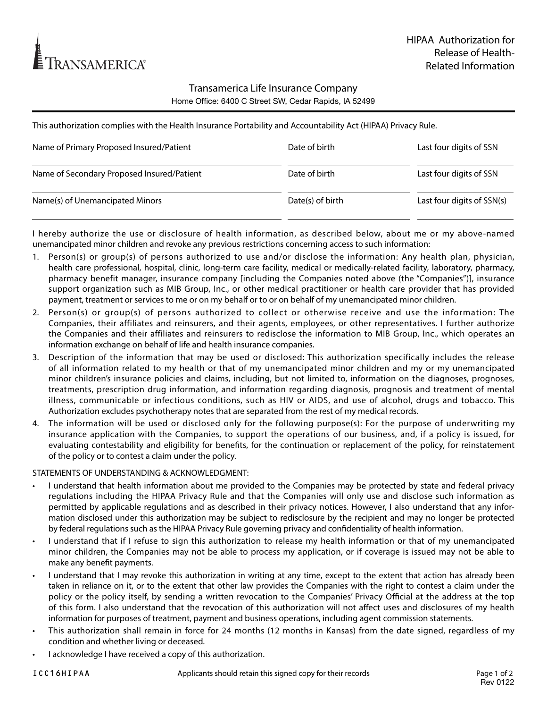

## Transamerica Life Insurance Company Home Office: 6400 C Street SW, Cedar Rapids, IA 52499

This authorization complies with the Health Insurance Portability and Accountability Act (HIPAA) Privacy Rule.

| Name of Primary Proposed Insured/Patient   | Date of birth    | Last four digits of SSN    |
|--------------------------------------------|------------------|----------------------------|
| Name of Secondary Proposed Insured/Patient | Date of birth    | Last four digits of SSN    |
| Name(s) of Unemancipated Minors            | Date(s) of birth | Last four digits of SSN(s) |

I hereby authorize the use or disclosure of health information, as described below, about me or my above-named unemancipated minor children and revoke any previous restrictions concerning access to such information:

- 1. Person(s) or group(s) of persons authorized to use and/or disclose the information: Any health plan, physician, health care professional, hospital, clinic, long-term care facility, medical or medically-related facility, laboratory, pharmacy, pharmacy benefit manager, insurance company [including the Companies noted above (the "Companies")], insurance support organization such as MIB Group, Inc., or other medical practitioner or health care provider that has provided payment, treatment or services to me or on my behalf or to or on behalf of my unemancipated minor children.
- 2. Person(s) or group(s) of persons authorized to collect or otherwise receive and use the information: The Companies, their affiliates and reinsurers, and their agents, employees, or other representatives. I further authorize the Companies and their affiliates and reinsurers to redisclose the information to MIB Group, Inc., which operates an information exchange on behalf of life and health insurance companies.
- 3. Description of the information that may be used or disclosed: This authorization specifically includes the release of all information related to my health or that of my unemancipated minor children and my or my unemancipated minor children's insurance policies and claims, including, but not limited to, information on the diagnoses, prognoses, treatments, prescription drug information, and information regarding diagnosis, prognosis and treatment of mental illness, communicable or infectious conditions, such as HIV or AIDS, and use of alcohol, drugs and tobacco. This Authorization excludes psychotherapy notes that are separated from the rest of my medical records.
- 4. The information will be used or disclosed only for the following purpose(s): For the purpose of underwriting my insurance application with the Companies, to support the operations of our business, and, if a policy is issued, for evaluating contestability and eligibility for benefits, for the continuation or replacement of the policy, for reinstatement of the policy or to contest a claim under the policy.

STATEMENTS OF UNDERSTANDING & ACKNOWLEDGMENT:

- I understand that health information about me provided to the Companies may be protected by state and federal privacy regulations including the HIPAA Privacy Rule and that the Companies will only use and disclose such information as permitted by applicable regulations and as described in their privacy notices. However, I also understand that any information disclosed under this authorization may be subject to redisclosure by the recipient and may no longer be protected by federal regulations such as the HIPAA Privacy Rule governing privacy and confidentiality of health information.
- I understand that if I refuse to sign this authorization to release my health information or that of my unemancipated minor children, the Companies may not be able to process my application, or if coverage is issued may not be able to make any benefit payments.
- I understand that I may revoke this authorization in writing at any time, except to the extent that action has already been taken in reliance on it, or to the extent that other law provides the Companies with the right to contest a claim under the policy or the policy itself, by sending a written revocation to the Companies' Privacy Official at the address at the top of this form. I also understand that the revocation of this authorization will not affect uses and disclosures of my health information for purposes of treatment, payment and business operations, including agent commission statements.
- This authorization shall remain in force for 24 months (12 months in Kansas) from the date signed, regardless of my condition and whether living or deceased.
- I acknowledge I have received a copy of this authorization.